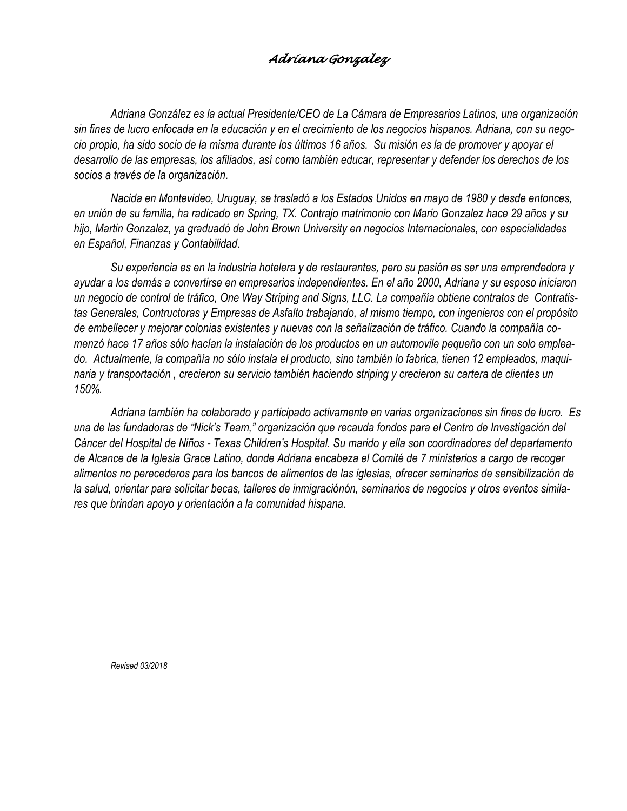## *Adriana Gonzalez*

*Adriana González es la actual Presidente/CEO de La Cámara de Empresarios Latinos, una organización* sin fines de lucro enfocada en la educación y en el crecimiento de los negocios hispanos. Adriana, con su negocio propio, ha sido socio de la misma durante los últimos 16 años. Su misión es la de promover y apoyar el desarrollo de las empresas, los afiliados, así como también educar, representar y defender los derechos de los *socios a través de la organización.*

*Nacida en Montevideo, Uruguay, se trasladó a los Estados Unidos en mayo de 1980 y desde entonces,* en unión de su familia, ha radicado en Spring, TX. Contrajo matrimonio con Mario Gonzalez hace 29 años y su *hijo, Martin Gonzalez, ya graduadó de John Brown University en negocios Internacionales, con especialidades en Español, Finanzas y Contabilidad.*

Su experiencia es en la industria hotelera y de restaurantes, pero su pasión es ser una emprendedora y ayudar a los demás a convertirse en empresarios independientes. En el año 2000, Adriana y su esposo iniciaron un negocio de control de tráfico, One Way Striping and Signs, LLC. La compañía obtiene contratos de Contratis*tas Generales, Contructoras y Empresas de Asfalto trabajando, al mismo tiempo, con ingenieros con el propósito* de embellecer y mejorar colonias existentes y nuevas con la señalización de tráfico. Cuando la compañía comenzó hace 17 años sólo hacían la instalación de los productos en un automovile pequeño con un solo emplea*do. Actualmente, la compañía no sólo instala el producto, sino también lo fabrica, tienen 12 empleados, maqui*naria y transportación, crecieron su servicio también haciendo striping y crecieron su cartera de clientes un *150%.*

*Adriana también ha colaborado y participado activamente en varias organizaciones sin fines de lucro. Es* una de las fundadoras de "Nick's Team," organización que recauda fondos para el Centro de Investigación del Cáncer del Hospital de Niños - Texas Children's Hospital. Su marido y ella son coordinadores del departamento de Alcance de la Iglesia Grace Latino, donde Adriana encabeza el Comité de 7 ministerios a cargo de recoger *alimentos no perecederos para los bancos de alimentos de las iglesias, ofrecer seminarios de sensibilización de* la salud, orientar para solicitar becas, talleres de inmigraciónón, seminarios de negocios y otros eventos simila*res que brindan apoyo y orientación a la comunidad hispana.*

*Revised 03/2018*